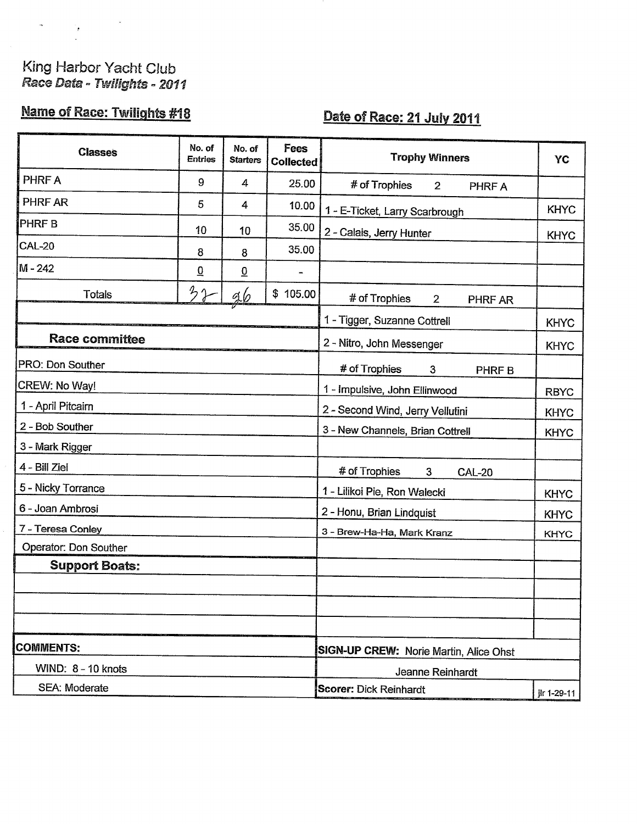# King Harbor Yacht Club<br>Race Data - Twilights - 2011

 $\label{eq:2.1} \frac{1}{2} \left( \frac{1}{2} \right)^2 \left( \frac{1}{2} \right)^2$ 

## Name of Race: Twilights #18

## Date of Race: 21 July 2011

| <b>Classes</b>        | No. of<br><b>Entries</b> | No. of<br><b>Starters</b> | Fees<br><b>Collected</b> | <b>Trophy Winners</b>                      | YC          |  |
|-----------------------|--------------------------|---------------------------|--------------------------|--------------------------------------------|-------------|--|
| PHRF A                | 9                        | 4                         | 25.00                    | # of Trophies<br>$\overline{2}$<br>PHRF A  |             |  |
| PHRF AR               | 5                        | 4                         | 10.00                    | 1 - E-Ticket, Larry Scarbrough             | <b>KHYC</b> |  |
| <b>PHRF B</b>         | 10                       | 10                        | 35.00                    | 2 - Calais, Jerry Hunter                   |             |  |
| <b>CAL-20</b>         | 8                        | 8                         | 35.00                    |                                            | <b>KHYC</b> |  |
| M - 242               | $\overline{0}$           | $\underline{0}$           |                          |                                            |             |  |
| <b>Totals</b>         | 32                       | <u>96</u>                 | \$105.00                 | # of Trophies<br>$\overline{2}$<br>PHRF AR |             |  |
|                       |                          |                           |                          | 1 - Tigger, Suzanne Cottrell               | <b>KHYC</b> |  |
| <b>Race committee</b> |                          |                           |                          | 2 - Nitro, John Messenger                  | <b>KHYC</b> |  |
| PRO: Don Souther      |                          |                           |                          | # of Trophies<br>3<br>PHRF B               |             |  |
| CREW: No Way!         |                          |                           |                          | 1 - Impulsive, John Ellinwood              | <b>RBYC</b> |  |
| 1 - April Pitcairn    |                          |                           |                          | 2 - Second Wind, Jerry Vellutini           | <b>KHYC</b> |  |
| 2 - Bob Souther       |                          |                           |                          | 3 - New Channels, Brian Cottrell           | <b>KHYC</b> |  |
| 3 - Mark Rigger       |                          |                           |                          |                                            |             |  |
| 4 - Bill Ziel         |                          |                           |                          | # of Trophies<br>3<br><b>CAL-20</b>        |             |  |
| 5 - Nicky Torrance    |                          |                           |                          | 1 - Lilikoi Pie, Ron Walecki               | <b>KHYC</b> |  |
| 6 - Joan Ambrosi      |                          |                           |                          | 2 - Honu, Brian Lindquist                  | <b>KHYC</b> |  |
| 7 - Teresa Conley     |                          |                           |                          | 3 - Brew-Ha-Ha, Mark Kranz                 | <b>KHYC</b> |  |
| Operator: Don Souther |                          |                           |                          |                                            |             |  |
| <b>Support Boats:</b> |                          |                           |                          |                                            |             |  |
|                       |                          |                           |                          |                                            |             |  |
|                       |                          |                           |                          |                                            |             |  |
|                       |                          |                           |                          |                                            |             |  |
| <b>COMMENTS:</b>      |                          |                           |                          | SIGN-UP CREW: Norie Martin, Alice Ohst     |             |  |
| WIND: 8 - 10 knots    |                          |                           |                          | Jeanne Reinhardt                           |             |  |
| SEA: Moderate         |                          |                           |                          | <b>Scorer: Dick Reinhardt</b>              | jlr 1-29-11 |  |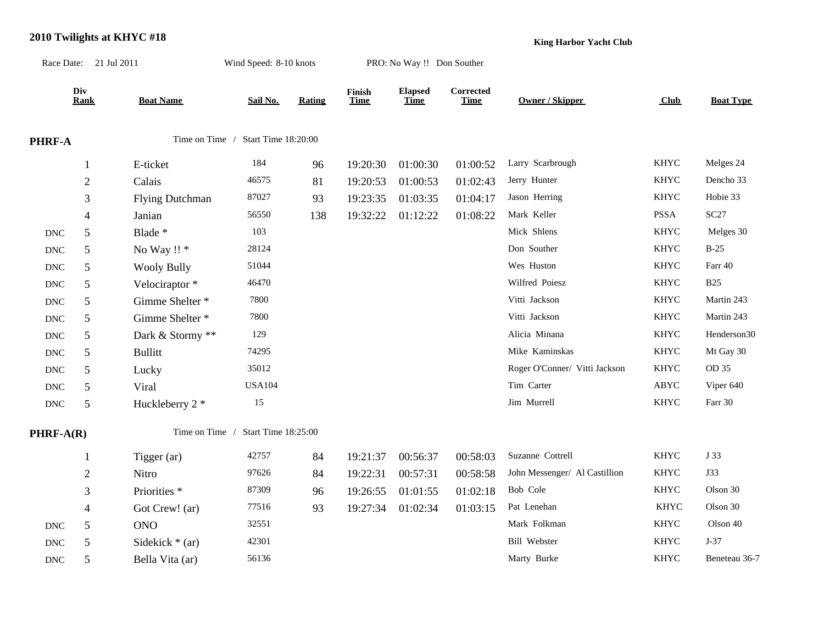|                             | Race Date: 21 Jul 2011 |                         | Wind Speed: 8-10 knots             |               |                       | PRO: No Way !! Don Souther    |                          |                               |              |                  |
|-----------------------------|------------------------|-------------------------|------------------------------------|---------------|-----------------------|-------------------------------|--------------------------|-------------------------------|--------------|------------------|
|                             | Div<br><b>Rank</b>     | <b>Boat Name</b>        | Sail No.                           | <b>Rating</b> | Finish<br><b>Time</b> | <b>Elapsed</b><br><b>Time</b> | Corrected<br><b>Time</b> | Owner / Skipper               | Club         | <b>Boat Type</b> |
| PHRF-A                      |                        |                         | Time on Time / Start Time 18:20:00 |               |                       |                               |                          |                               |              |                  |
|                             | $\mathbf{1}$           | E-ticket                | 184                                | 96            | 19:20:30              | 01:00:30                      | 01:00:52                 | Larry Scarbrough              | <b>KHYC</b>  | Melges 24        |
|                             | $\sqrt{2}$             | Calais                  | 46575                              | 81            | 19:20:53              | 01:00:53                      | 01:02:43                 | Jerry Hunter                  | <b>KHYC</b>  | Dencho 33        |
|                             | 3                      | <b>Flying Dutchman</b>  | 87027                              | 93            | 19:23:35              | 01:03:35                      | 01:04:17                 | Jason Herring                 | <b>KHYC</b>  | Hobie 33         |
|                             | $\overline{4}$         | Janian                  | 56550                              | 138           | 19:32:22              | 01:12:22                      | 01:08:22                 | Mark Keller                   | PSSA         | SC27             |
| $\operatorname{DNC}$        | 5                      | Blade *                 | 103                                |               |                       |                               |                          | Mick Shlens                   | <b>KHYC</b>  | Melges 30        |
| $\operatorname{DNC}$        | 5                      | No Way !! *             | 28124                              |               |                       |                               |                          | Don Souther                   | <b>KHYC</b>  | $B-25$           |
| $\operatorname{DNC}$        | 5                      | <b>Wooly Bully</b>      | 51044                              |               |                       |                               |                          | Wes Huston                    | <b>KHYC</b>  | Farr 40          |
| <b>DNC</b>                  | 5                      | Velociraptor*           | 46470                              |               |                       |                               |                          | Wilfred Poiesz                | <b>KHYC</b>  | <b>B25</b>       |
| $\operatorname{DNC}$        | 5                      | Gimme Shelter *         | 7800                               |               |                       |                               |                          | Vitti Jackson                 | <b>KHYC</b>  | Martin 243       |
| $\operatorname{DNC}$        | 5                      | Gimme Shelter *         | 7800                               |               |                       |                               |                          | Vitti Jackson                 | <b>KHYC</b>  | Martin 243       |
| $\operatorname{DNC}$        | 5                      | Dark & Stormy **        | 129                                |               |                       |                               |                          | Alicia Minana                 | <b>KHYC</b>  | Henderson30      |
| $\operatorname{DNC}$        | 5                      | <b>Bullitt</b>          | 74295                              |               |                       |                               |                          | Mike Kaminskas                | <b>KHYC</b>  | Mt Gay 30        |
| $\operatorname{DNC}$        | 5                      | Lucky                   | 35012                              |               |                       |                               |                          | Roger O'Conner/ Vitti Jackson | <b>KHYC</b>  | OD 35            |
| $\operatorname{DNC}$        | 5                      | Viral                   | <b>USA104</b>                      |               |                       |                               |                          | Tim Carter                    | ${\rm ABYC}$ | Viper 640        |
| $\operatorname{DNC}$        | 5                      | Huckleberry 2 *         | 15                                 |               |                       |                               |                          | Jim Murrell                   | <b>KHYC</b>  | Farr 30          |
| PHRF-A(R)                   |                        | Time on Time /          | Start Time 18:25:00                |               |                       |                               |                          |                               |              |                  |
|                             | 1                      | Tigger (ar)             | 42757                              | 84            | 19:21:37              | 00:56:37                      | 00:58:03                 | Suzanne Cottrell              | <b>KHYC</b>  | J 33             |
|                             | $\overline{c}$         | Nitro                   | 97626                              | 84            | 19:22:31              | 00:57:31                      | 00:58:58                 | John Messenger/ Al Castillion | <b>KHYC</b>  | <b>J33</b>       |
|                             | $\mathfrak{Z}$         | Priorities <sup>*</sup> | 87309                              | 96            | 19:26:55              | 01:01:55                      | 01:02:18                 | Bob Cole                      | <b>KHYC</b>  | Olson 30         |
|                             | $\overline{4}$         | Got Crew! (ar)          | 77516                              | 93            | 19:27:34              | 01:02:34                      | 01:03:15                 | Pat Lenehan                   | <b>KHYC</b>  | Olson 30         |
| <b>DNC</b>                  | 5                      | <b>ONO</b>              | 32551                              |               |                       |                               |                          | Mark Folkman                  | <b>KHYC</b>  | Olson 40         |
| <b>DNC</b>                  | 5                      | Sidekick $*$ (ar)       | 42301                              |               |                       |                               |                          | <b>Bill Webster</b>           | <b>KHYC</b>  | $J-37$           |
| $\mathop{\rm DNC}\nolimits$ | 5                      | Bella Vita (ar)         | 56136                              |               |                       |                               |                          | Marty Burke                   | <b>KHYC</b>  | Beneteau 36-7    |

#### **2010 Twilights at KHYC #18**

**King Harbor Yacht Club**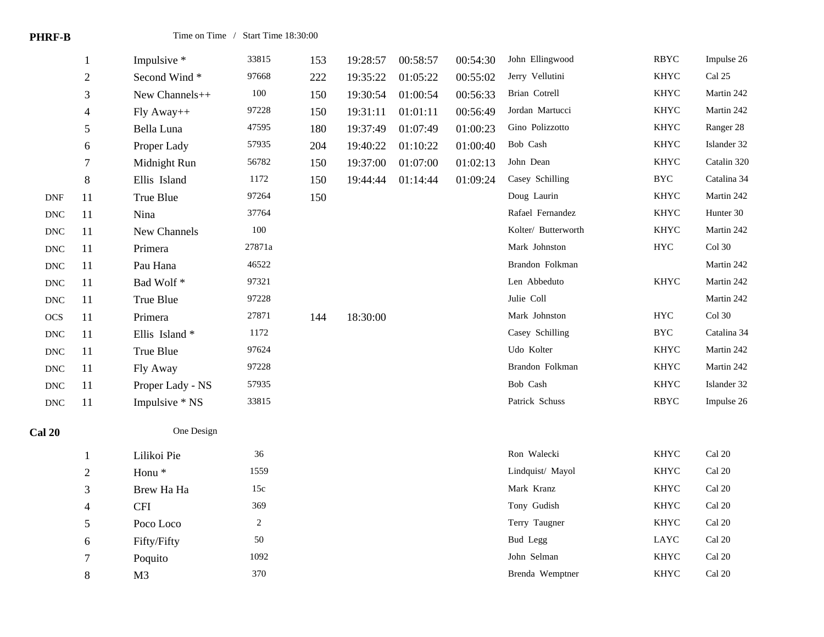| מונ<br>п<br>ш<br>. .<br>. . |
|-----------------------------|
|-----------------------------|

|                      | 1                           | Impulsive *       | 33815          | 153 | 19:28:57 | 00:58:57 | 00:54:30 | John Ellingwood     | <b>RBYC</b> | Impulse 26  |
|----------------------|-----------------------------|-------------------|----------------|-----|----------|----------|----------|---------------------|-------------|-------------|
|                      | $\sqrt{2}$                  | Second Wind*      | 97668          | 222 | 19:35:22 | 01:05:22 | 00:55:02 | Jerry Vellutini     | <b>KHYC</b> | Cal 25      |
|                      | 3                           | New Channels++    | $100\,$        | 150 | 19:30:54 | 01:00:54 | 00:56:33 | Brian Cotrell       | KHYC        | Martin 242  |
|                      | $\overline{4}$              | Fly Away++        | 97228          | 150 | 19:31:11 | 01:01:11 | 00:56:49 | Jordan Martucci     | <b>KHYC</b> | Martin 242  |
|                      | 5                           | Bella Luna        | 47595          | 180 | 19:37:49 | 01:07:49 | 01:00:23 | Gino Polizzotto     | <b>KHYC</b> | Ranger 28   |
|                      | 6                           | Proper Lady       | 57935          | 204 | 19:40:22 | 01:10:22 | 01:00:40 | Bob Cash            | <b>KHYC</b> | Islander 32 |
|                      | $\tau$                      | Midnight Run      | 56782          | 150 | 19:37:00 | 01:07:00 | 01:02:13 | John Dean           | <b>KHYC</b> | Catalin 320 |
|                      | 8                           | Ellis Island      | 1172           | 150 | 19:44:44 | 01:14:44 | 01:09:24 | Casey Schilling     | <b>BYC</b>  | Catalina 34 |
| $\mathbf{DNF}$       | 11                          | True Blue         | 97264          | 150 |          |          |          | Doug Laurin         | <b>KHYC</b> | Martin 242  |
| $\operatorname{DNC}$ | 11                          | Nina              | 37764          |     |          |          |          | Rafael Fernandez    | <b>KHYC</b> | Hunter 30   |
| $\operatorname{DNC}$ | 11                          | New Channels      | 100            |     |          |          |          | Kolter/ Butterworth | <b>KHYC</b> | Martin 242  |
| $\operatorname{DNC}$ | 11                          | Primera           | 27871a         |     |          |          |          | Mark Johnston       | ${\rm HYC}$ | Col 30      |
| $\operatorname{DNC}$ | 11                          | Pau Hana          | 46522          |     |          |          |          | Brandon Folkman     |             | Martin 242  |
| $\operatorname{DNC}$ | 11                          | Bad Wolf*         | 97321          |     |          |          |          | Len Abbeduto        | <b>KHYC</b> | Martin 242  |
| $\operatorname{DNC}$ | 11                          | True Blue         | 97228          |     |          |          |          | Julie Coll          |             | Martin 242  |
| $OCS$                | 11                          | Primera           | 27871          | 144 | 18:30:00 |          |          | Mark Johnston       | ${\rm HYC}$ | $Col$ 30    |
| $\operatorname{DNC}$ | 11                          | Ellis Island*     | 1172           |     |          |          |          | Casey Schilling     | <b>BYC</b>  | Catalina 34 |
| $\operatorname{DNC}$ | 11                          | True Blue         | 97624          |     |          |          |          | Udo Kolter          | <b>KHYC</b> | Martin 242  |
| $\operatorname{DNC}$ | 11                          | Fly Away          | 97228          |     |          |          |          | Brandon Folkman     | <b>KHYC</b> | Martin 242  |
| $\operatorname{DNC}$ | 11                          | Proper Lady - NS  | 57935          |     |          |          |          | Bob Cash            | <b>KHYC</b> | Islander 32 |
| <b>DNC</b>           | 11                          | Impulsive * NS    | 33815          |     |          |          |          | Patrick Schuss      | <b>RBYC</b> | Impulse 26  |
| <b>Cal 20</b>        |                             | One Design        |                |     |          |          |          |                     |             |             |
|                      | $\mathbf{1}$                | Lilikoi Pie       | 36             |     |          |          |          | Ron Walecki         | <b>KHYC</b> | Cal 20      |
|                      | $\overline{2}$              | Honu <sup>*</sup> | 1559           |     |          |          |          | Lindquist/ Mayol    | <b>KHYC</b> | Cal 20      |
|                      | $\ensuremath{\mathfrak{Z}}$ | Brew Ha Ha        | 15c            |     |          |          |          | Mark Kranz          | <b>KHYC</b> | Cal 20      |
|                      | $\overline{4}$              | <b>CFI</b>        | 369            |     |          |          |          | Tony Gudish         | <b>KHYC</b> | $Cal$ 20    |
|                      | $\sqrt{5}$                  | Poco Loco         | $\overline{2}$ |     |          |          |          | Terry Taugner       | <b>KHYC</b> | Cal 20      |
|                      | 6                           | Fifty/Fifty       | 50             |     |          |          |          | <b>Bud Legg</b>     | LAYC        | Cal 20      |
|                      | $\tau$                      | Poquito           | 1092           |     |          |          |          | John Selman         | <b>KHYC</b> | Cal 20      |
|                      | $8\,$                       | M <sub>3</sub>    | 370            |     |          |          |          | Brenda Wemptner     | <b>KHYC</b> | Cal 20      |